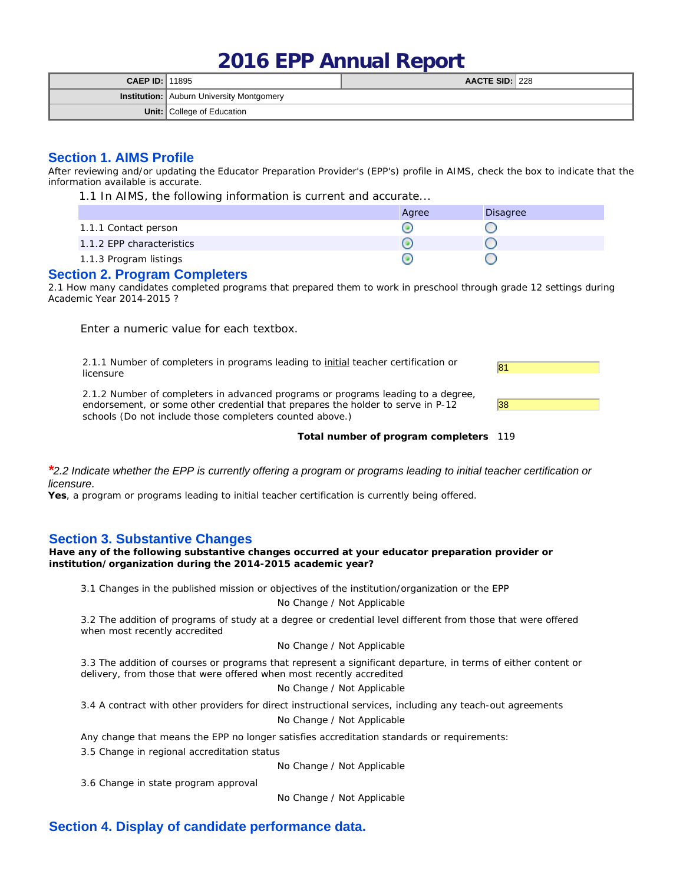# **2016 EPP Annual Report**

| <b>CAEP ID: 11895</b> |                                                  | AACTE SID: $ 228$ |  |
|-----------------------|--------------------------------------------------|-------------------|--|
|                       | <b>Institution:</b> Auburn University Montgomery |                   |  |
|                       | <b>Unit:</b> College of Education                |                   |  |

## **Section 1. AIMS Profile**

After reviewing and/or updating the Educator Preparation Provider's (EPP's) profile in AIMS, check the box to indicate that the information available is accurate.

1.1 In AIMS, the following information is current and accurate...

|                           | Agree | Disagree |
|---------------------------|-------|----------|
| 1.1.1 Contact person      |       |          |
| 1.1.2 EPP characteristics |       |          |
| 1.1.3 Program listings    |       |          |

## **Section 2. Program Completers**

2.1 How many candidates completed programs that prepared them to work in preschool through grade 12 settings during Academic Year 2014-2015 ?

Enter a numeric value for each textbox.

2.1.1 Number of completers in programs leading to <u>initial</u> teacher certification or  $\frac{81}{81}$ 

2.1.2 Number of completers in advanced programs or programs leading to a degree, endorsement, or some other credential that prepares the holder to serve in P-12 schools (Do not include those completers counted above.)



**Total number of program completers** 119

#### *\*2.2 Indicate whether the EPP is currently offering a program or programs leading to initial teacher certification or licensure.*

**Yes**, a program or programs leading to initial teacher certification is currently being offered.

## **Section 3. Substantive Changes**

**Have any of the following substantive changes occurred at your educator preparation provider or institution/organization during the 2014-2015 academic year?**

3.1 Changes in the published mission or objectives of the institution/organization or the EPP

## No Change / Not Applicable

3.2 The addition of programs of study at a degree or credential level different from those that were offered when most recently accredited

#### No Change / Not Applicable

3.3 The addition of courses or programs that represent a significant departure, in terms of either content or delivery, from those that were offered when most recently accredited

No Change / Not Applicable

3.4 A contract with other providers for direct instructional services, including any teach-out agreements

No Change / Not Applicable

Any change that means the EPP no longer satisfies accreditation standards or requirements:

3.5 Change in regional accreditation status

No Change / Not Applicable

3.6 Change in state program approval

No Change / Not Applicable

# **Section 4. Display of candidate performance data.**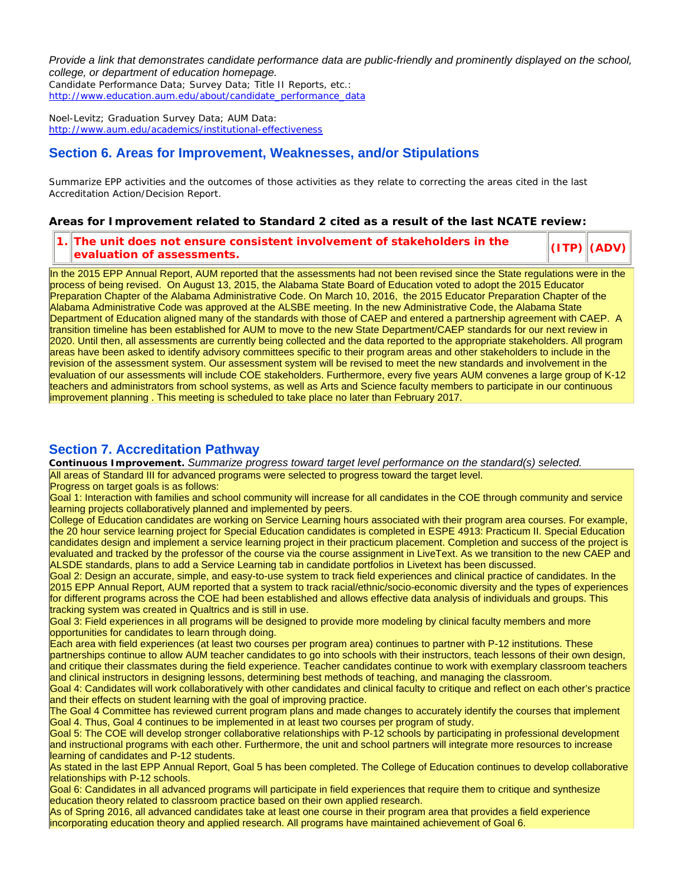*Provide a link that demonstrates candidate performance data are public-friendly and prominently displayed on the school, college, or department of education homepage.*

Candidate Performance Data; Survey Data; Title II Reports, etc.: http://www.education.aum.edu/about/candidate\_performance\_data

Noel-Levitz; Graduation Survey Data; AUM Data: http://www.aum.edu/academics/institutional-effectiveness

## **Section 6. Areas for Improvement, Weaknesses, and/or Stipulations**

Summarize EPP activities and the outcomes of those activities as they relate to correcting the areas cited in the last Accreditation Action/Decision Report.

**Areas for Improvement related to Standard 2 cited as a result of the last NCATE review:**

**1. The unit does not ensure consistent involvement of stakeholders in the evaluation of assessments. (ITP) (ADV)**

In the 2015 EPP Annual Report, AUM reported that the assessments had not been revised since the State regulations were in the process of being revised. On August 13, 2015, the Alabama State Board of Education voted to adopt the 2015 Educator Preparation Chapter of the Alabama Administrative Code. On March 10, 2016, the 2015 Educator Preparation Chapter of the Alabama Administrative Code was approved at the ALSBE meeting. In the new Administrative Code, the Alabama State Department of Education aligned many of the standards with those of CAEP and entered a partnership agreement with CAEP. A transition timeline has been established for AUM to move to the new State Department/CAEP standards for our next review in 2020. Until then, all assessments are currently being collected and the data reported to the appropriate stakeholders. All program areas have been asked to identify advisory committees specific to their program areas and other stakeholders to include in the revision of the assessment system. Our assessment system will be revised to meet the new standards and involvement in the evaluation of our assessments will include COE stakeholders. Furthermore, every five years AUM convenes a large group of K-12 teachers and administrators from school systems, as well as Arts and Science faculty members to participate in our continuous improvement planning . This meeting is scheduled to take place no later than February 2017.

## **Section 7. Accreditation Pathway**

**Continuous Improvement.** *Summarize progress toward target level performance on the standard(s) selected.*

All areas of Standard III for advanced programs were selected to progress toward the target level.

Progress on target goals is as follows:

Goal 1: Interaction with families and school community will increase for all candidates in the COE through community and service learning projects collaboratively planned and implemented by peers.

College of Education candidates are working on Service Learning hours associated with their program area courses. For example, the 20 hour service learning project for Special Education candidates is completed in ESPE 4913: Practicum II. Special Education candidates design and implement a service learning project in their practicum placement. Completion and success of the project is evaluated and tracked by the professor of the course via the course assignment in LiveText. As we transition to the new CAEP and ALSDE standards, plans to add a Service Learning tab in candidate portfolios in Livetext has been discussed.

Goal 2: Design an accurate, simple, and easy-to-use system to track field experiences and clinical practice of candidates. In the 2015 EPP Annual Report, AUM reported that a system to track racial/ethnic/socio-economic diversity and the types of experiences for different programs across the COE had been established and allows effective data analysis of individuals and groups. This tracking system was created in Qualtrics and is still in use.

Goal 3: Field experiences in all programs will be designed to provide more modeling by clinical faculty members and more opportunities for candidates to learn through doing.

Each area with field experiences (at least two courses per program area) continues to partner with P-12 institutions. These partnerships continue to allow AUM teacher candidates to go into schools with their instructors, teach lessons of their own design, and critique their classmates during the field experience. Teacher candidates continue to work with exemplary classroom teachers and clinical instructors in designing lessons, determining best methods of teaching, and managing the classroom.

Goal 4: Candidates will work collaboratively with other candidates and clinical faculty to critique and reflect on each other's practice and their effects on student learning with the goal of improving practice.

The Goal 4 Committee has reviewed current program plans and made changes to accurately identify the courses that implement Goal 4. Thus, Goal 4 continues to be implemented in at least two courses per program of study.

Goal 5: The COE will develop stronger collaborative relationships with P-12 schools by participating in professional development and instructional programs with each other. Furthermore, the unit and school partners will integrate more resources to increase learning of candidates and P-12 students.

As stated in the last EPP Annual Report, Goal 5 has been completed. The College of Education continues to develop collaborative relationships with P-12 schools.

Goal 6: Candidates in all advanced programs will participate in field experiences that require them to critique and synthesize education theory related to classroom practice based on their own applied research.

As of Spring 2016, all advanced candidates take at least one course in their program area that provides a field experience incorporating education theory and applied research. All programs have maintained achievement of Goal 6.